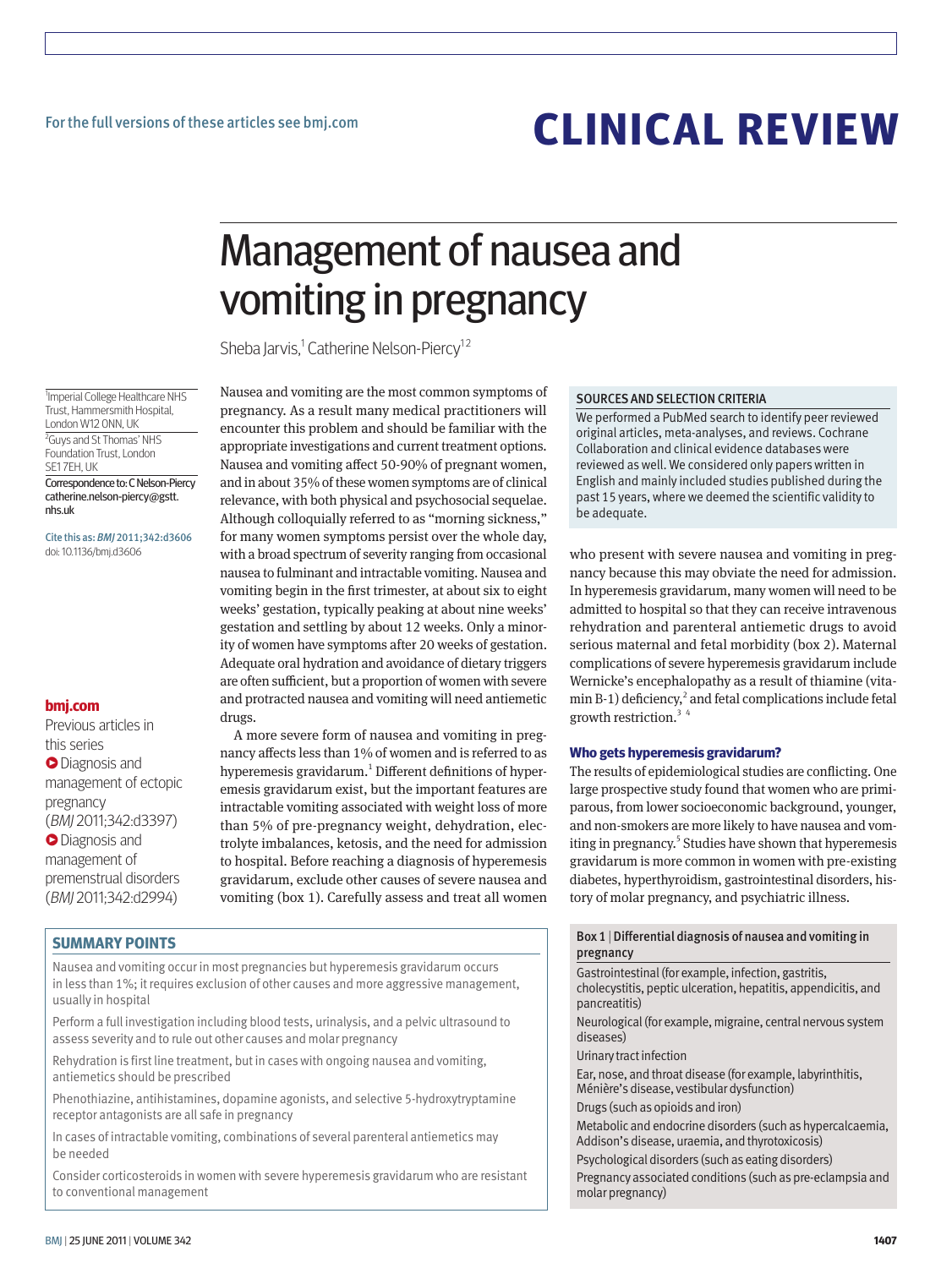# For the full versions of these articles see bmj.com **CLINICAL REVIEW**

# Management of nausea and vomiting in pregnancy

Sheba Jarvis,<sup>1</sup> Catherine Nelson-Piercy<sup>12</sup>

Nausea and vomiting are the most common symptoms of pregnancy. As a result many medical practitioners will encounter this problem and should be familiar with the appropriate investigations and current treatment options. Nausea and vomiting affect 50-90% of pregnant women,

1<sub>Imperial</sub> College Healthcare NHS Trust, Hammersmith Hospital, London W12 0NN, UK <sup>2</sup>Guys and St Thomas' NHS Foundation Trust, London SE1 7EH, UK Correspondence to: C Nelson-Piercy catherine.nelson-piercy@gstt. nhs.uk

Cite this as: *BMJ* 2011;342:d3606 doi: 10.1136/bmj.d3606

### **bmj.com**

Previous articles in this series  $\bullet$  Diagnosis and management of ectopic pregnancy (BMJ 2011;342:d3397)  $\bullet$  Diagnosis and management of premenstrual disorders (BMJ 2011;342:d2994)

# and in about 35% of these women symptoms are of clinical relevance, with both physical and psychosocial sequelae. Although colloquially referred to as "morning sickness," for many women symptoms persist over the whole day, with a broad spectrum of severity ranging from occasional nausea to fulminant and intractable vomiting. Nausea and vomiting begin in the first trimester, at about six to eight weeks' gestation, typically peaking at about nine weeks' gestation and settling by about 12 weeks. Only a minority of women have symptoms after 20 weeks of gestation. Adequate oral hydration and avoidance of dietary triggers are often sufficient, but a proportion of women with severe and protracted nausea and vomiting will need antiemetic drugs. A more severe form of nausea and vomiting in preg-

nancy affects less than 1% of women and is referred to as hyperemesis gravidarum.<sup>1</sup> Different definitions of hyperemesis gravidarum exist, but the important features are intractable vomiting associated with weight loss of more than 5% of pre-pregnancy weight, dehydration, electrolyte imbalances, ketosis, and the need for admission to hospital. Before reaching a diagnosis of hyperemesis gravidarum, exclude other causes of severe nausea and vomiting (box 1). Carefully assess and treat all women

## SOURCES AND SELECTION CRITERIA

We performed a PubMed search to identify peer reviewed original articles, meta-analyses, and reviews. Cochrane Collaboration and clinical evidence databases were reviewed as well. We considered only papers written in English and mainly included studies published during the past 15 years, where we deemed the scientific validity to be adequate.

who present with severe nausea and vomiting in pregnancy because this may obviate the need for admission. In hyperemesis gravidarum, many women will need to be admitted to hospital so that they can receive intravenous rehydration and parenteral antiemetic drugs to avoid serious maternal and fetal morbidity (box 2). Maternal complications of severe hyperemesis gravidarum include Wernicke's encephalopathy as a result of thiamine (vitamin B-1) deficiency,<sup>2</sup> and fetal complications include fetal growth restriction.<sup>34</sup>

# **Who gets hyperemesis gravidarum?**

The results of epidemiological studies are conflicting. One large prospective study found that women who are primiparous, from lower socioeconomic background, younger, and non-smokers are more likely to have nausea and vomiting in pregnancy.<sup>5</sup> Studies have shown that hyperemesis gravidarum is more common in women with pre-existing diabetes, hyperthyroidism, gastrointestinal disorders, history of molar pregnancy, and psychiatric illness.

| Box 1   Differential diagnosis of nausea and vomiting in<br>pregnancy                                                                   |
|-----------------------------------------------------------------------------------------------------------------------------------------|
| Gastrointestinal (for example, infection, gastritis,<br>cholecystitis, peptic ulceration, hepatitis, appendicitis, and<br>pancreatitis) |
| Neurological (for example, migraine, central nervous system<br>diseases)                                                                |
| Urinary tract infection                                                                                                                 |
| Ear, nose, and throat disease (for example, labyrinthitis,<br>Ménière's disease, vestibular dysfunction)                                |
| Drugs (such as opioids and iron)                                                                                                        |
| Metabolic and endocrine disorders (such as hypercalcaemia,<br>Addison's disease, uraemia, and thyrotoxicosis)                           |
| Psychological disorders (such as eating disorders)                                                                                      |
| Pregnancy associated conditions (such as pre-eclampsia and<br>molar pregnancy)                                                          |
|                                                                                                                                         |

# **SUMMARY POINTS**

Nausea and vomiting occur in most pregnancies but hyperemesis gravidarum occurs in less than 1%; it requires exclusion of other causes and more aggressive management, usually in hospital

Perform a full investigation including blood tests, urinalysis, and a pelvic ultrasound to assess severity and to rule out other causes and molar pregnancy

Rehydration is first line treatment, but in cases with ongoing nausea and vomiting, antiemetics should be prescribed

Phenothiazine, antihistamines, dopamine agonists, and selective 5-hydroxytryptamine receptor antagonists are all safe in pregnancy

In cases of intractable vomiting, combinations of several parenteral antiemetics may be needed

Consider corticosteroids in women with severe hyperemesis gravidarum who are resistant to conventional management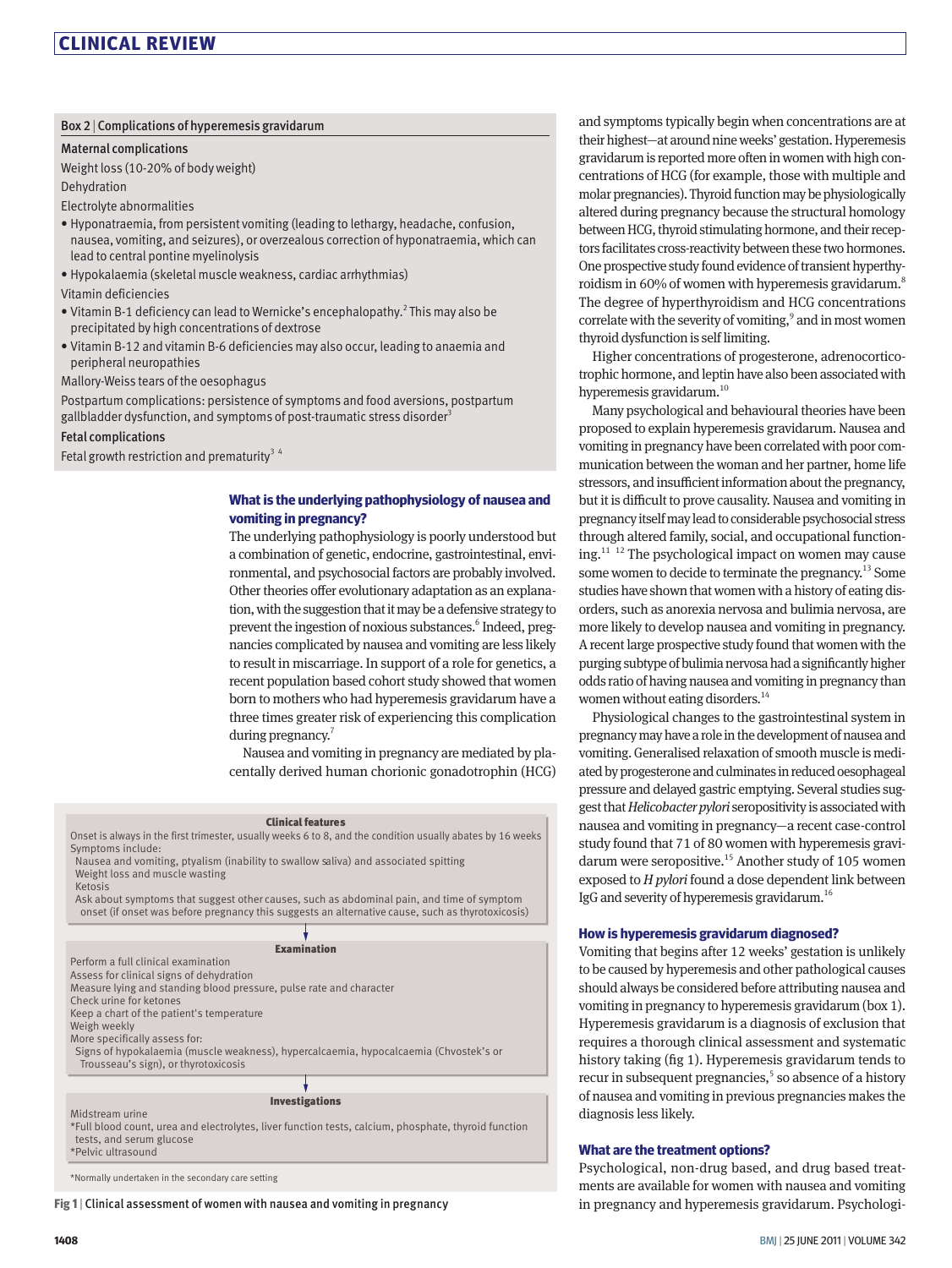#### Box 2 | Complications of hyperemesis gravidarum

#### Maternal complications

Weight loss (10-20% of body weight) Dehydration

Electrolyte abnormalities

- Hyponatraemia, from persistent vomiting (leading to lethargy, headache, confusion, nausea, vomiting, and seizures), or overzealous correction of hyponatraemia, which can lead to central pontine myelinolysis
- Hypokalaemia (skeletal muscle weakness, cardiac arrhythmias)

Vitamin deficiencies

- Vitamin B-1 deficiency can lead to Wernicke's encephalopathy.<sup>2</sup> This may also be precipitated by high concentrations of dextrose
- Vitamin B-12 and vitamin B-6 deficiencies may also occur, leading to anaemia and peripheral neuropathies

Mallory-Weiss tears of the oesophagus

Postpartum complications: persistence of symptoms and food aversions, postpartum gallbladder dysfunction, and symptoms of post-traumatic stress disorder<sup>3</sup>

#### Fetal complications

Fetal growth restriction and prematurity<sup>3</sup>  $4$ 

## **What is the underlying pathophysiology of nausea and vomiting in pregnancy?**

The underlying pathophysiology is poorly understood but a combination of genetic, endocrine, gastrointestinal, environmental, and psychosocial factors are probably involved. Other theories offer evolutionary adaptation as an explanation, with the suggestion that it may be a defensive strategy to prevent the ingestion of noxious substances.<sup>6</sup> Indeed, pregnancies complicated by nausea and vomiting are less likely to result in miscarriage. In support of a role for genetics, a recent population based cohort study showed that women born to mothers who had hyperemesis gravidarum have a three times greater risk of experiencing this complication during pregnancy.<sup>7</sup>

Nausea and vomiting in pregnancy are mediated by placentally derived human chorionic gonadotrophin (HCG)

#### Clinical features



\*Normally undertaken in the secondary care setting

**Fig 1** | Clinical assessment of women with nausea and vomiting in pregnancy

and symptoms typically begin when concentrations are at their highest—at around nine weeks' gestation. Hyperemesis gravidarum is reported more often in women with high concentrations of HCG (for example, those with multiple and molar pregnancies). Thyroid function may be physiologically altered during pregnancy because the structural homology between HCG, thyroid stimulating hormone, and their receptors facilitates cross-reactivity between these two hormones. One prospective study found evidence of transient hyperthyroidism in 60% of women with hyperemesis gravidarum.<sup>8</sup> The degree of hyperthyroidism and HCG concentrations correlate with the severity of vomiting,<sup>9</sup> and in most women thyroid dysfunction is self limiting.

Higher concentrations of progesterone, adrenocorticotrophic hormone, and leptin have also been associated with hyperemesis gravidarum.10

Many psychological and behavioural theories have been proposed to explain hyperemesis gravidarum. Nausea and vomiting in pregnancy have been correlated with poor communication between the woman and her partner, home life stressors, and insufficient information about the pregnancy, but it is difficult to prove causality. Nausea and vomiting in pregnancy itself may lead to considerable psychosocial stress through altered family, social, and occupational functioning. $11^{11}$  The psychological impact on women may cause some women to decide to terminate the pregnancy.<sup>13</sup> Some studies have shown that women with a history of eating disorders, such as anorexia nervosa and bulimia nervosa, are more likely to develop nausea and vomiting in pregnancy. A recent large prospective study found that women with the purging subtype of bulimia nervosa had a significantly higher odds ratio of having nausea and vomiting in pregnancy than women without eating disorders.<sup>14</sup>

Physiological changes to the gastrointestinal system in pregnancy may have a role in the development of nausea and vomiting. Generalised relaxation of smooth muscle is mediated by progesterone and culminates in reduced oesophageal pressure and delayed gastric emptying. Several studies suggest that *Helicobacter pylori* seropositivity is associated with nausea and vomiting in pregnancy—a recent case-control study found that 71 of 80 women with hyperemesis gravidarum were seropositive.<sup>15</sup> Another study of 105 women exposed to *H pylori* found a dose dependent link between IgG and severity of hyperemesis gravidarum.16

#### **How is hyperemesis gravidarum diagnosed?**

Vomiting that begins after 12 weeks' gestation is unlikely to be caused by hyperemesis and other pathological causes should always be considered before attributing nausea and vomiting in pregnancy to hyperemesis gravidarum (box 1). Hyperemesis gravidarum is a diagnosis of exclusion that requires a thorough clinical assessment and systematic history taking (fig 1). Hyperemesis gravidarum tends to recur in subsequent pregnancies,<sup>5</sup> so absence of a history of nausea and vomiting in previous pregnancies makes the diagnosis less likely.

## **What are the treatment options?**

Psychological, non-drug based, and drug based treatments are available for women with nausea and vomiting in pregnancy and hyperemesis gravidarum. Psychologi-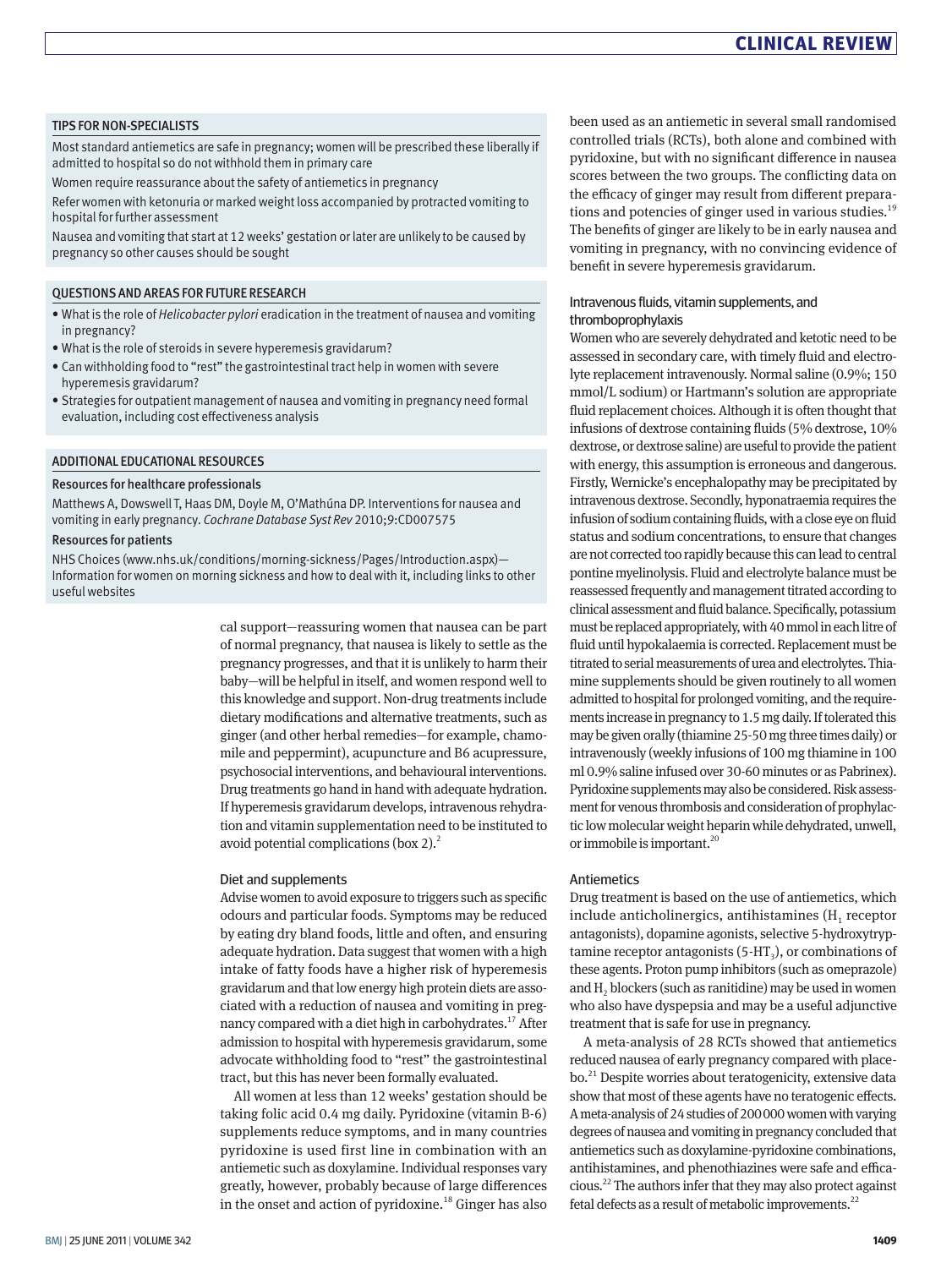#### TIPS FOR NON-SPECIALISTS

Most standard antiemetics are safe in pregnancy; women will be prescribed these liberally if admitted to hospital so do not withhold them in primary care

Women require reassurance about the safety of antiemetics in pregnancy

Refer women with ketonuria or marked weight loss accompanied by protracted vomiting to hospital for further assessment

Nausea and vomiting that start at 12 weeks' gestation or later are unlikely to be caused by pregnancy so other causes should be sought

## QUESTIONS AND AREAS FOR FUTURE RESEARCH

- What is the role of *Helicobacter pylori* eradication in the treatment of nausea and vomiting in pregnancy?
- What is the role of steroids in severe hyperemesis gravidarum?
- Can withholding food to "rest" the gastrointestinal tract help in women with severe hyperemesis gravidarum?
- Strategies for outpatient management of nausea and vomiting in pregnancy need formal evaluation, including cost effectiveness analysis

#### ADDITIONAL EDUCATIONAL RESOURCES

#### Resources for healthcare professionals

Matthews A, Dowswell T, Haas DM, Doyle M, O'Mathúna DP. Interventions for nausea and vomiting in early pregnancy. *Cochrane Database Syst Rev* 2010;9:CD007575

#### Resources for patients

NHS Choices (www.nhs.uk/conditions/morning-sickness/Pages/Introduction.aspx)— Information for women on morning sickness and how to deal with it, including links to other useful websites

> cal support—reassuring women that nausea can be part of normal pregnancy, that nausea is likely to settle as the pregnancy progresses, and that it is unlikely to harm their baby—will be helpful in itself, and women respond well to this knowledge and support. Non-drug treatments include dietary modifications and alternative treatments, such as ginger (and other herbal remedies—for example, chamomile and peppermint), acupuncture and B6 acupressure, psychosocial interventions, and behavioural interventions. Drug treatments go hand in hand with adequate hydration. If hyperemesis gravidarum develops, intravenous rehydration and vitamin supplementation need to be instituted to avoid potential complications (box  $2$ ).<sup>2</sup>

#### Diet and supplements

Advise women to avoid exposure to triggers such as specific odours and particular foods. Symptoms may be reduced by eating dry bland foods, little and often, and ensuring adequate hydration. Data suggest that women with a high intake of fatty foods have a higher risk of hyperemesis gravidarum and that low energy high protein diets are associated with a reduction of nausea and vomiting in pregnancy compared with a diet high in carbohydrates.17 After admission to hospital with hyperemesis gravidarum, some advocate withholding food to "rest" the gastrointestinal tract, but this has never been formally evaluated.

All women at less than 12 weeks' gestation should be taking folic acid 0.4 mg daily. Pyridoxine (vitamin B-6) supplements reduce symptoms, and in many countries pyridoxine is used first line in combination with an antiemetic such as doxylamine. Individual responses vary greatly, however, probably because of large differences in the onset and action of pyridoxine.<sup>18</sup> Ginger has also

been used as an antiemetic in several small randomised controlled trials (RCTs), both alone and combined with pyridoxine, but with no significant difference in nausea scores between the two groups. The conflicting data on the efficacy of ginger may result from different preparations and potencies of ginger used in various studies. $19$ The benefits of ginger are likely to be in early nausea and vomiting in pregnancy, with no convincing evidence of benefit in severe hyperemesis gravidarum.

### Intravenous fluids, vitamin supplements, and thromboprophylaxis

Women who are severely dehydrated and ketotic need to be assessed in secondary care, with timely fluid and electrolyte replacement intravenously. Normal saline (0.9%; 150 mmol/L sodium) or Hartmann's solution are appropriate fluid replacement choices. Although it is often thought that infusions of dextrose containing fluids (5% dextrose, 10% dextrose, or dextrose saline) are useful to provide the patient with energy, this assumption is erroneous and dangerous. Firstly, Wernicke's encephalopathy may be precipitated by intravenous dextrose. Secondly, hyponatraemia requires the infusion of sodium containing fluids, with a close eye on fluid status and sodium concentrations, to ensure that changes are not corrected too rapidly because this can lead to central pontine myelinolysis. Fluid and electrolyte balance must be reassessed frequently and management titrated according to clinical assessment and fluid balance. Specifically, potassium must be replaced appropriately, with 40 mmol in each litre of fluid until hypokalaemia is corrected. Replacement must be titrated to serial measurements of urea and electrolytes. Thiamine supplements should be given routinely to all women admitted to hospital for prolonged vomiting, and the requirements increase in pregnancy to 1.5 mg daily. If tolerated this may be given orally (thiamine 25-50 mg three times daily) or intravenously (weekly infusions of 100 mg thiamine in 100 ml 0.9% saline infused over 30-60 minutes or as Pabrinex). Pyridoxine supplements may also be considered. Risk assessment for venous thrombosis and consideration of prophylactic low molecular weight heparin while dehydrated, unwell, or immobile is important. $20$ 

#### Antiemetics

Drug treatment is based on the use of antiemetics, which include anticholinergics, antihistamines  $(H_1)$  receptor antagonists), dopamine agonists, selective 5-hydroxytryptamine receptor antagonists  $(5-HT<sub>3</sub>)$ , or combinations of these agents. Proton pump inhibitors (such as omeprazole) and  $H<sub>2</sub>$  blockers (such as ranitidine) may be used in women who also have dyspepsia and may be a useful adjunctive treatment that is safe for use in pregnancy.

A meta-analysis of 28 RCTs showed that antiemetics reduced nausea of early pregnancy compared with placebo.<sup>21</sup> Despite worries about teratogenicity, extensive data show that most of these agents have no teratogenic effects. A meta-analysis of 24 studies of 200000 women with varying degrees of nausea and vomiting in pregnancy concluded that antiemetics such as doxylamine-pyridoxine combinations, antihistamines, and phenothiazines were safe and efficacious.22 The authors infer that they may also protect against fetal defects as a result of metabolic improvements.<sup>22</sup>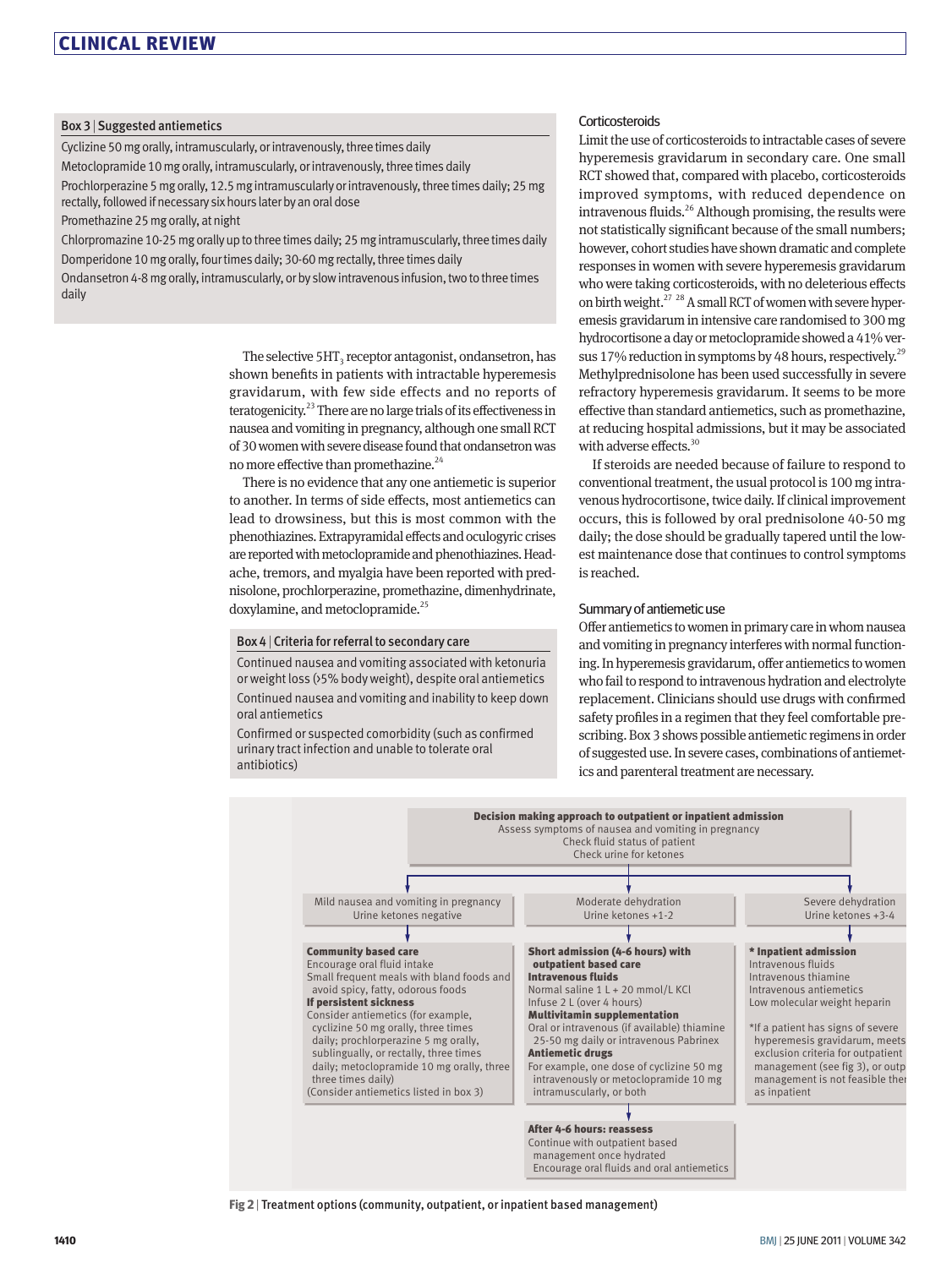# **CLINICAL REVIEW**

#### Box 3 | Suggested antiemetics

Cyclizine 50 mg orally, intramuscularly, or intravenously, three times daily

Metoclopramide 10 mg orally, intramuscularly, or intravenously, three times daily

Prochlorperazine 5 mg orally, 12.5 mg intramuscularly or intravenously, three times daily; 25 mg rectally, followed if necessary six hours later by an oral dose

Promethazine 25 mg orally, at night

Chlorpromazine 10-25 mg orally up to three times daily; 25 mg intramuscularly, three times daily Domperidone 10 mg orally, four times daily; 30-60 mg rectally, three times daily

Ondansetron 4-8 mg orally, intramuscularly, or by slow intravenous infusion, two to three times daily

> The selective  $5HT_3$  receptor antagonist, ondansetron, has shown benefits in patients with intractable hyperemesis gravidarum, with few side effects and no reports of teratogenicity.23 There are no large trials of its effectiveness in nausea and vomiting in pregnancy, although one small RCT of 30 women with severe disease found that ondansetron was no more effective than promethazine. $24$

> There is no evidence that any one antiemetic is superior to another. In terms of side effects, most antiemetics can lead to drowsiness, but this is most common with the phenothiazines. Extrapyramidal effects and oculogyric crises are reported with metoclopramide and phenothiazines. Headache, tremors, and myalgia have been reported with prednisolone, prochlorperazine, promethazine, dimenhydrinate, doxylamine, and metoclopramide.<sup>25</sup>

#### Box 4 | Criteria for referral to secondary care

Continued nausea and vomiting associated with ketonuria or weight loss (>5% body weight), despite oral antiemetics Continued nausea and vomiting and inability to keep down oral antiemetics

Confirmed or suspected comorbidity (such as confirmed urinary tract infection and unable to tolerate oral antibiotics)

#### **Corticosteroids**

Limit the use of corticosteroids to intractable cases of severe hyperemesis gravidarum in secondary care. One small RCT showed that, compared with placebo, corticosteroids improved symptoms, with reduced dependence on intravenous fluids.<sup>26</sup> Although promising, the results were not statistically significant because of the small numbers; however, cohort studies have shown dramatic and complete responses in women with severe hyperemesis gravidarum who were taking corticosteroids, with no deleterious effects on birth weight.<sup>27</sup> <sup>28</sup> A small RCT of women with severe hyperemesis gravidarum in intensive care randomised to 300 mg hydrocortisone a day or metoclopramide showed a 41% versus 17% reduction in symptoms by 48 hours, respectively.<sup>29</sup> Methylprednisolone has been used successfully in severe refractory hyperemesis gravidarum. It seems to be more effective than standard antiemetics, such as promethazine, at reducing hospital admissions, but it may be associated with adverse effects.<sup>30</sup>

If steroids are needed because of failure to respond to conventional treatment, the usual protocol is 100 mg intravenous hydrocortisone, twice daily. If clinical improvement occurs, this is followed by oral prednisolone 40-50 mg daily; the dose should be gradually tapered until the lowest maintenance dose that continues to control symptoms is reached.

## Summary of antiemetic use

Offer antiemetics to women in primary care in whom nausea and vomiting in pregnancy interferes with normal functioning. In hyperemesis gravidarum, offer antiemetics to women who fail to respond to intravenous hydration and electrolyte replacement. Clinicians should use drugs with confirmed safety profiles in a regimen that they feel comfortable prescribing. Box 3 shows possible antiemetic regimens in order of suggested use. In severe cases, combinations of antiemetics and parenteral treatment are necessary.

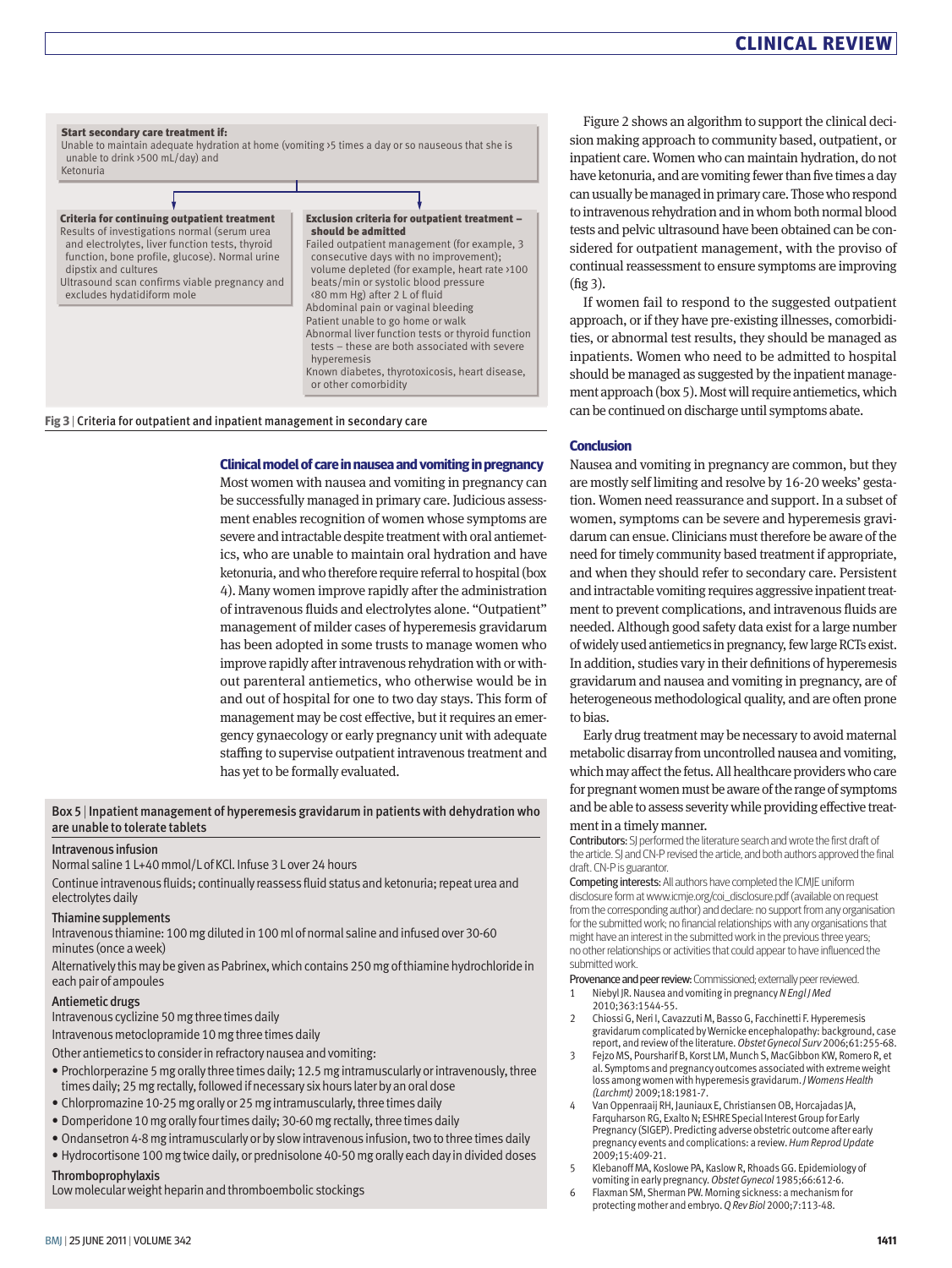

#### **Fig 3** | Criteria for outpatient and inpatient management in secondary care

#### **Clinical model of care in nausea and vomiting in pregnancy**

Most women with nausea and vomiting in pregnancy can be successfully managed in primary care. Judicious assessment enables recognition of women whose symptoms are severe and intractable despite treatment with oral antiemetics, who are unable to maintain oral hydration and have ketonuria, and who therefore require referral to hospital (box 4). Many women improve rapidly after the administration of intravenous fluids and electrolytes alone. "Outpatient" management of milder cases of hyperemesis gravidarum has been adopted in some trusts to manage women who improve rapidly after intravenous rehydration with or without parenteral antiemetics, who otherwise would be in and out of hospital for one to two day stays. This form of management may be cost effective, but it requires an emergency gynaecology or early pregnancy unit with adequate staffing to supervise outpatient intravenous treatment and has yet to be formally evaluated.

Box 5 | Inpatient management of hyperemesis gravidarum in patients with dehydration who are unable to tolerate tablets

#### Intravenous infusion

Normal saline 1 L+40 mmol/L of KCl. Infuse 3 L over 24 hours

Continue intravenous fluids; continually reassess fluid status and ketonuria; repeat urea and electrolytes daily

#### Thiamine supplements

Intravenous thiamine: 100 mg diluted in 100 ml of normal saline and infused over 30-60 minutes (once a week)

Alternatively this may be given as Pabrinex, which contains 250 mg of thiamine hydrochloride in each pair of ampoules

#### Antiemetic drugs

Intravenous cyclizine 50 mg three times daily

Intravenous metoclopramide 10 mg three times daily

Other antiemetics to consider in refractory nausea and vomiting:

- Prochlorperazine 5 mg orally three times daily; 12.5 mg intramuscularly or intravenously, three times daily; 25 mg rectally, followed if necessary six hours later by an oral dose
- Chlorpromazine 10-25 mg orally or 25 mg intramuscularly, three times daily
- Domperidone 10 mg orally four times daily; 30-60 mg rectally, three times daily
- Ondansetron 4-8 mg intramuscularly or by slow intravenous infusion, two to three times daily
- Hydrocortisone 100 mg twice daily, or prednisolone 40-50 mg orally each day in divided doses

#### **Thromboprophylaxis**

Low molecular weight heparin and thromboembolic stockings

Figure 2 shows an algorithm to support the clinical decision making approach to community based, outpatient, or inpatient care. Women who can maintain hydration, do not have ketonuria, and are vomiting fewer than five times a day can usually be managed in primary care. Those who respond to intravenous rehydration and in whom both normal blood tests and pelvic ultrasound have been obtained can be considered for outpatient management, with the proviso of continual reassessment to ensure symptoms are improving (fig 3).

If women fail to respond to the suggested outpatient approach, or if they have pre-existing illnesses, comorbidities, or abnormal test results, they should be managed as inpatients. Women who need to be admitted to hospital should be managed as suggested by the inpatient management approach (box 5). Most will require antiemetics, which can be continued on discharge until symptoms abate.

#### **Conclusion**

Nausea and vomiting in pregnancy are common, but they are mostly self limiting and resolve by 16-20 weeks' gestation. Women need reassurance and support. In a subset of women, symptoms can be severe and hyperemesis gravidarum can ensue. Clinicians must therefore be aware of the need for timely community based treatment if appropriate, and when they should refer to secondary care. Persistent and intractable vomiting requires aggressive inpatient treatment to prevent complications, and intravenous fluids are needed. Although good safety data exist for a large number of widely used antiemetics in pregnancy, few large RCTs exist. In addition, studies vary in their definitions of hyperemesis gravidarum and nausea and vomiting in pregnancy, are of heterogeneous methodological quality, and are often prone to bias.

Early drug treatment may be necessary to avoid maternal metabolic disarray from uncontrolled nausea and vomiting, which may affect the fetus. All healthcare providers who care for pregnant women must be aware of the range of symptoms and be able to assess severity while providing effective treatment in a timely manner.

Contributors: SJ performed the literature search and wrote the first draft of the article. SJ and CN-P revised the article, and both authors approved the final draft. CN-P is guarantor.

Competing interests: All authors have completed the ICMJE uniform disclosure form at www.icmje.org/coi\_disclosure.pdf (available on request from the corresponding author) and declare: no support from any organisation for the submitted work; no financial relationships with any organisations that might have an interest in the submitted work in the previous three years; no other relationships or activities that could appear to have influenced the submitted work.

Provenance and peer review: Commissioned; externally peer reviewed. 1 NiebylJR.Nausea andvomiting inpregnancy *N Engl J Med* 

- 2010;363:1544-55.
- 2 Chiossi G, Neri I, Cavazzuti M, Basso G, Facchinetti F. Hyperemesis gravidarum complicated by Wernicke encephalopathy: background, case report, and review of the literature. Obstet Gynecol Surv 2006;61:255-68.
- Fejzo MS, Poursharif B, Korst LM, Munch S, MacGibbon KW, Romero R, et al. Symptoms and pregnancy outcomes associated with extreme weight lossamongwomenwithhyperemesisgravidarum.*J Womens Health (Larchmt)*2009;18:1981-7.
- Van Oppenraaij RH, Jauniaux E, Christiansen OB, Horcajadas JA, Farquharson RG, Exalto N; ESHRE Special Interest Group for Early Pregnancy (SIGEP). Predicting adverse obstetric outcome after early pregnancyeventsandcomplications: a review.*Hum Reprod Update* 2009;15:409-21.
- 5 Klebanoff MA, Koslowe PA, Kaslow R, Rhoads GG. Epidemiology of vomiting inearlypregnancy.*Obstet Gynecol*1985;66:612-6.
- 6 FlaxmanSM,ShermanPW.Morning sickness: amechanismfor protectingmother andembryo.*Q Rev Biol*2000;7:113-48.